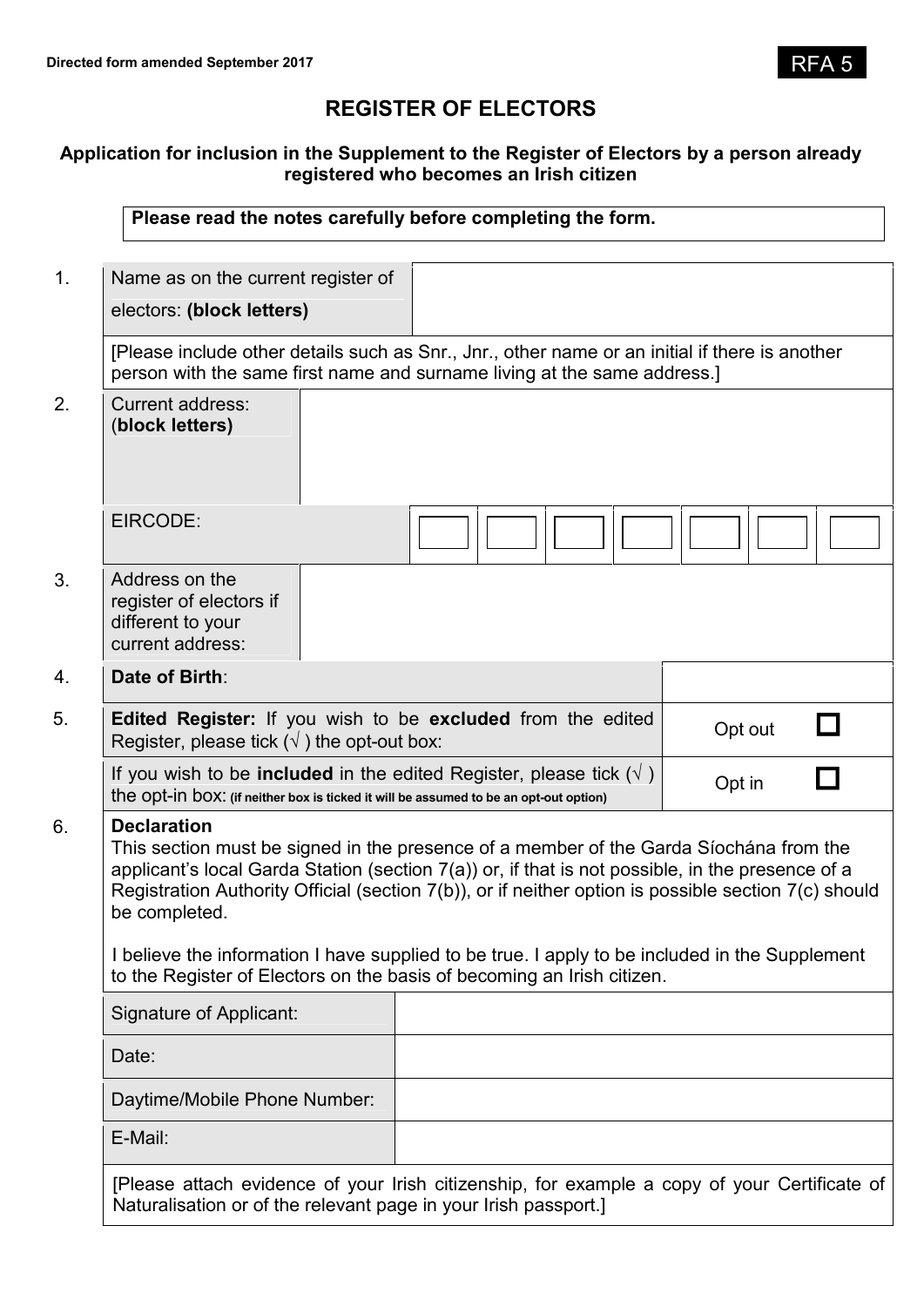# **REGISTER OF ELECTORS**

# **Application for inclusion in the Supplement to the Register of Electors by a person already registered who becomes an Irish citizen**

| Name as on the current register of                                                                                                                                         |                                                                                                                                                                                                                                                                                                                                                                                                                                                                                |         |
|----------------------------------------------------------------------------------------------------------------------------------------------------------------------------|--------------------------------------------------------------------------------------------------------------------------------------------------------------------------------------------------------------------------------------------------------------------------------------------------------------------------------------------------------------------------------------------------------------------------------------------------------------------------------|---------|
| electors: (block letters)                                                                                                                                                  |                                                                                                                                                                                                                                                                                                                                                                                                                                                                                |         |
|                                                                                                                                                                            | [Please include other details such as Snr., Jnr., other name or an initial if there is another<br>person with the same first name and surname living at the same address.]                                                                                                                                                                                                                                                                                                     |         |
| <b>Current address:</b><br>(block letters)                                                                                                                                 |                                                                                                                                                                                                                                                                                                                                                                                                                                                                                |         |
| EIRCODE:                                                                                                                                                                   |                                                                                                                                                                                                                                                                                                                                                                                                                                                                                |         |
| Address on the<br>register of electors if<br>different to your<br>current address:                                                                                         |                                                                                                                                                                                                                                                                                                                                                                                                                                                                                |         |
| Date of Birth:                                                                                                                                                             |                                                                                                                                                                                                                                                                                                                                                                                                                                                                                |         |
| Edited Register: If you wish to be excluded from the edited<br>Register, please tick $(\sqrt{})$ the opt-out box:                                                          |                                                                                                                                                                                                                                                                                                                                                                                                                                                                                | Opt out |
| If you wish to be <b>included</b> in the edited Register, please tick $(\sqrt{})$<br>the opt-in box: (if neither box is ticked it will be assumed to be an opt-out option) |                                                                                                                                                                                                                                                                                                                                                                                                                                                                                | Opt in  |
| <b>Declaration</b><br>be completed.                                                                                                                                        | This section must be signed in the presence of a member of the Garda Síochána from the<br>applicant's local Garda Station (section 7(a)) or, if that is not possible, in the presence of a<br>Registration Authority Official (section 7(b)), or if neither option is possible section 7(c) should<br>I believe the information I have supplied to be true. I apply to be included in the Supplement<br>to the Register of Electors on the basis of becoming an Irish citizen. |         |
| Signature of Applicant:                                                                                                                                                    |                                                                                                                                                                                                                                                                                                                                                                                                                                                                                |         |
| Date:                                                                                                                                                                      |                                                                                                                                                                                                                                                                                                                                                                                                                                                                                |         |
| Daytime/Mobile Phone Number:                                                                                                                                               |                                                                                                                                                                                                                                                                                                                                                                                                                                                                                |         |
| E-Mail:                                                                                                                                                                    |                                                                                                                                                                                                                                                                                                                                                                                                                                                                                |         |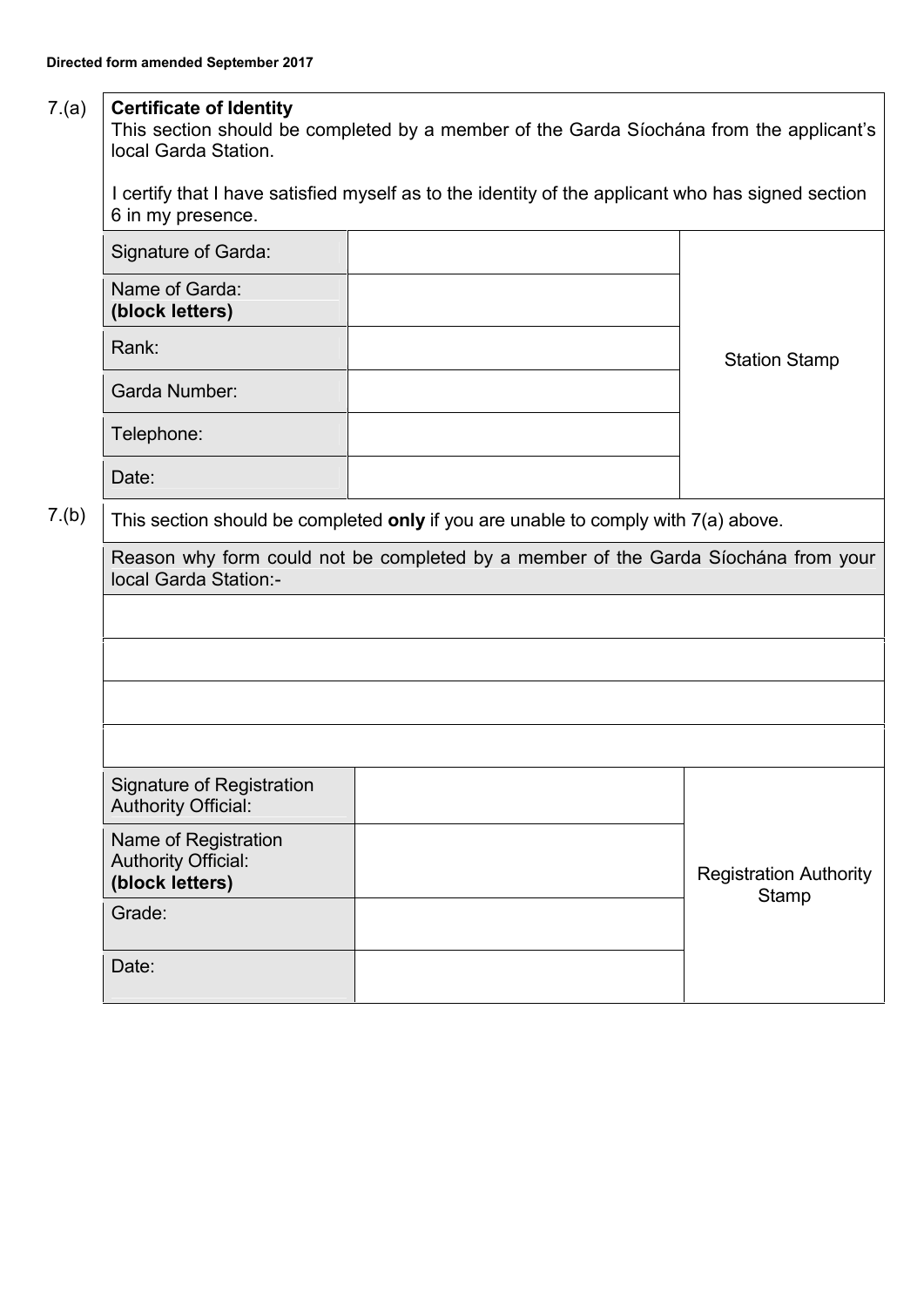# 7.(a) **Certificate of Identity**

This section should be completed by a member of the Garda Síochána from the applicant's local Garda Station.

I certify that I have satisfied myself as to the identity of the applicant who has signed section 6 in my presence.

|                                                                                    | Signature of Garda:                                                                |  |                      |
|------------------------------------------------------------------------------------|------------------------------------------------------------------------------------|--|----------------------|
|                                                                                    | Name of Garda:<br>(block letters)                                                  |  |                      |
|                                                                                    | Rank:                                                                              |  | <b>Station Stamp</b> |
|                                                                                    | Garda Number:                                                                      |  |                      |
|                                                                                    | Telephone:                                                                         |  |                      |
|                                                                                    | Date:                                                                              |  |                      |
| 7.(b)                                                                              | This section should be completed only if you are unable to comply with 7(a) above. |  |                      |
| Reason why form could not be completed by a member of the Garda Siochána from your |                                                                                    |  |                      |

| Reason why form could not be completed by a member of the Garda Siochána from your |
|------------------------------------------------------------------------------------|
| local Garda Station:-                                                              |

| Signature of Registration<br><b>Authority Official:</b>               |  |                                        |
|-----------------------------------------------------------------------|--|----------------------------------------|
| Name of Registration<br><b>Authority Official:</b><br>(block letters) |  | <b>Registration Authority</b><br>Stamp |
| Grade:                                                                |  |                                        |
| Date:                                                                 |  |                                        |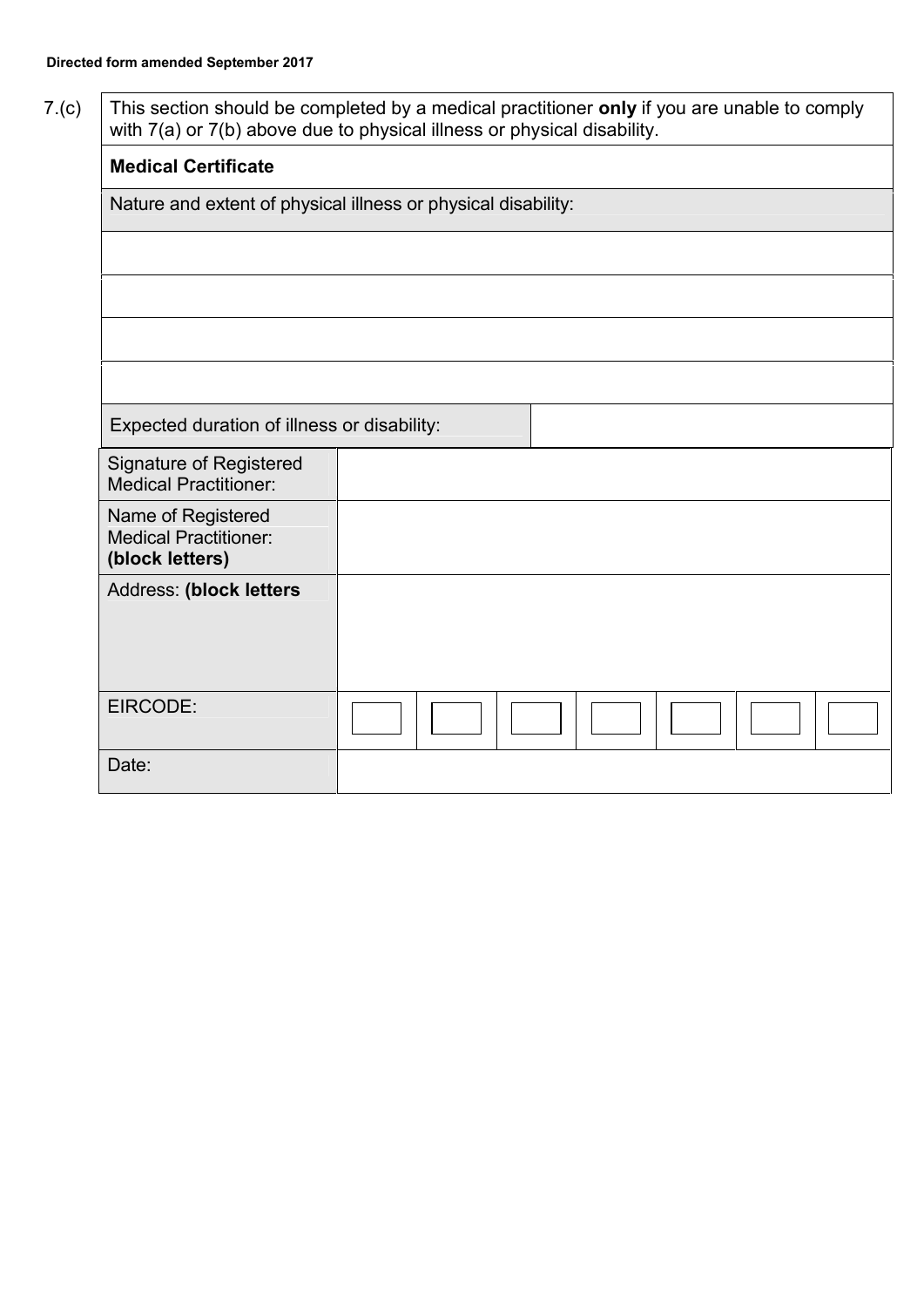7.(c) This section should be completed by a medical practitioner **only** if you are unable to comply with 7(a) or 7(b) above due to physical illness or physical disability.

| <b>Medical Certificate</b>                                            |  |  |  |  |
|-----------------------------------------------------------------------|--|--|--|--|
| Nature and extent of physical illness or physical disability:         |  |  |  |  |
|                                                                       |  |  |  |  |
|                                                                       |  |  |  |  |
|                                                                       |  |  |  |  |
|                                                                       |  |  |  |  |
| Expected duration of illness or disability:                           |  |  |  |  |
| <b>Signature of Registered</b><br><b>Medical Practitioner:</b>        |  |  |  |  |
| Name of Registered<br><b>Medical Practitioner:</b><br>(block letters) |  |  |  |  |
| Address: (block letters                                               |  |  |  |  |
|                                                                       |  |  |  |  |
| EIRCODE:                                                              |  |  |  |  |
| Date:                                                                 |  |  |  |  |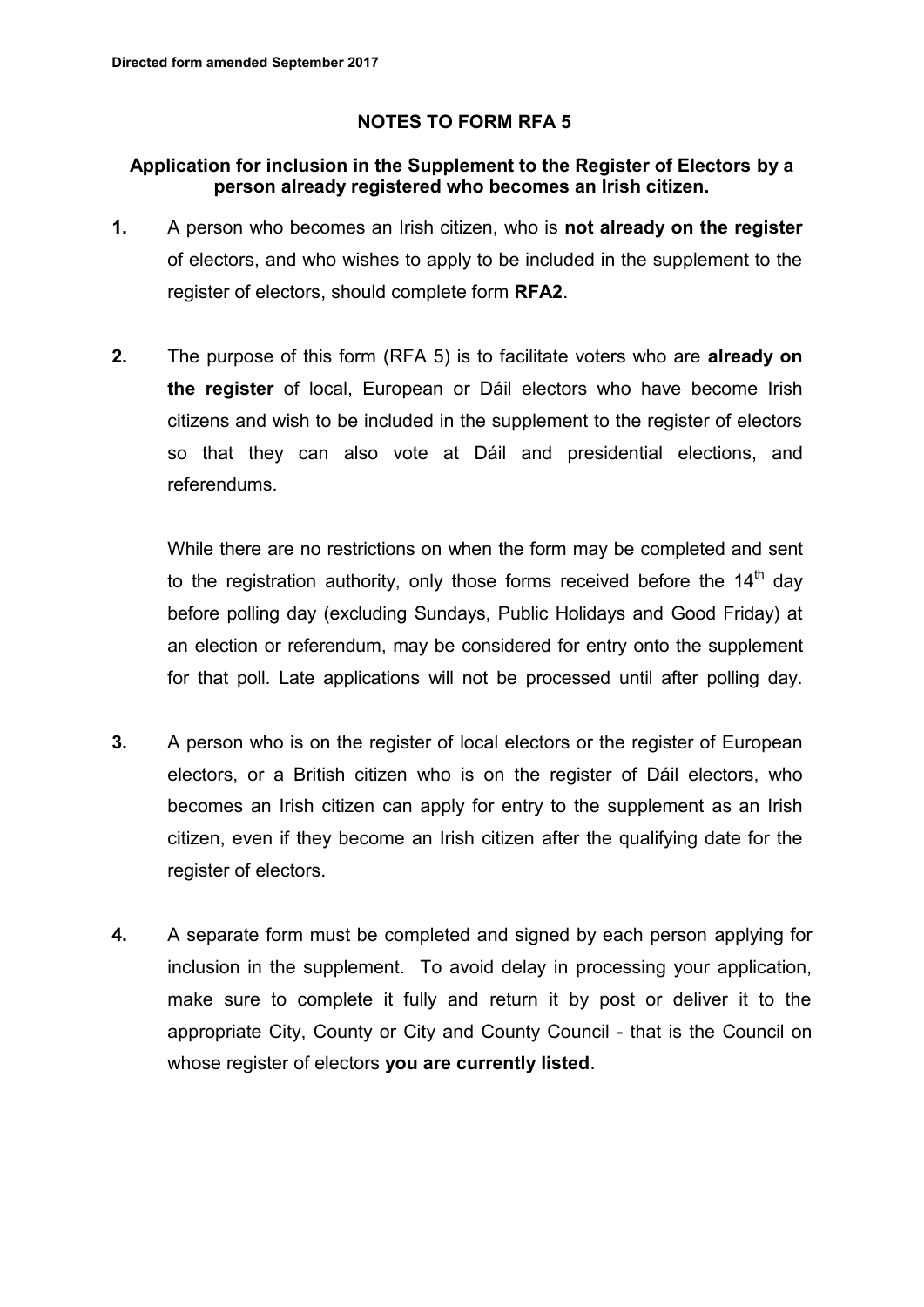# **NOTES TO FORM RFA 5**

# **Application for inclusion in the Supplement to the Register of Electors by a person already registered who becomes an Irish citizen.**

- **1.** A person who becomes an Irish citizen, who is **not already on the register** of electors, and who wishes to apply to be included in the supplement to the register of electors, should complete form **RFA2**.
- **2.** The purpose of this form (RFA 5) is to facilitate voters who are **already on the register** of local, European or Dáil electors who have become Irish citizens and wish to be included in the supplement to the register of electors so that they can also vote at Dáil and presidential elections, and referendums.

While there are no restrictions on when the form may be completed and sent to the registration authority, only those forms received before the  $14<sup>th</sup>$  dav before polling day (excluding Sundays, Public Holidays and Good Friday) at an election or referendum, may be considered for entry onto the supplement for that poll. Late applications will not be processed until after polling day.

- **3.** A person who is on the register of local electors or the register of European electors, or a British citizen who is on the register of Dáil electors, who becomes an Irish citizen can apply for entry to the supplement as an Irish citizen, even if they become an Irish citizen after the qualifying date for the register of electors.
- **4.** A separate form must be completed and signed by each person applying for inclusion in the supplement. To avoid delay in processing your application, make sure to complete it fully and return it by post or deliver it to the appropriate City, County or City and County Council - that is the Council on whose register of electors **you are currently listed**.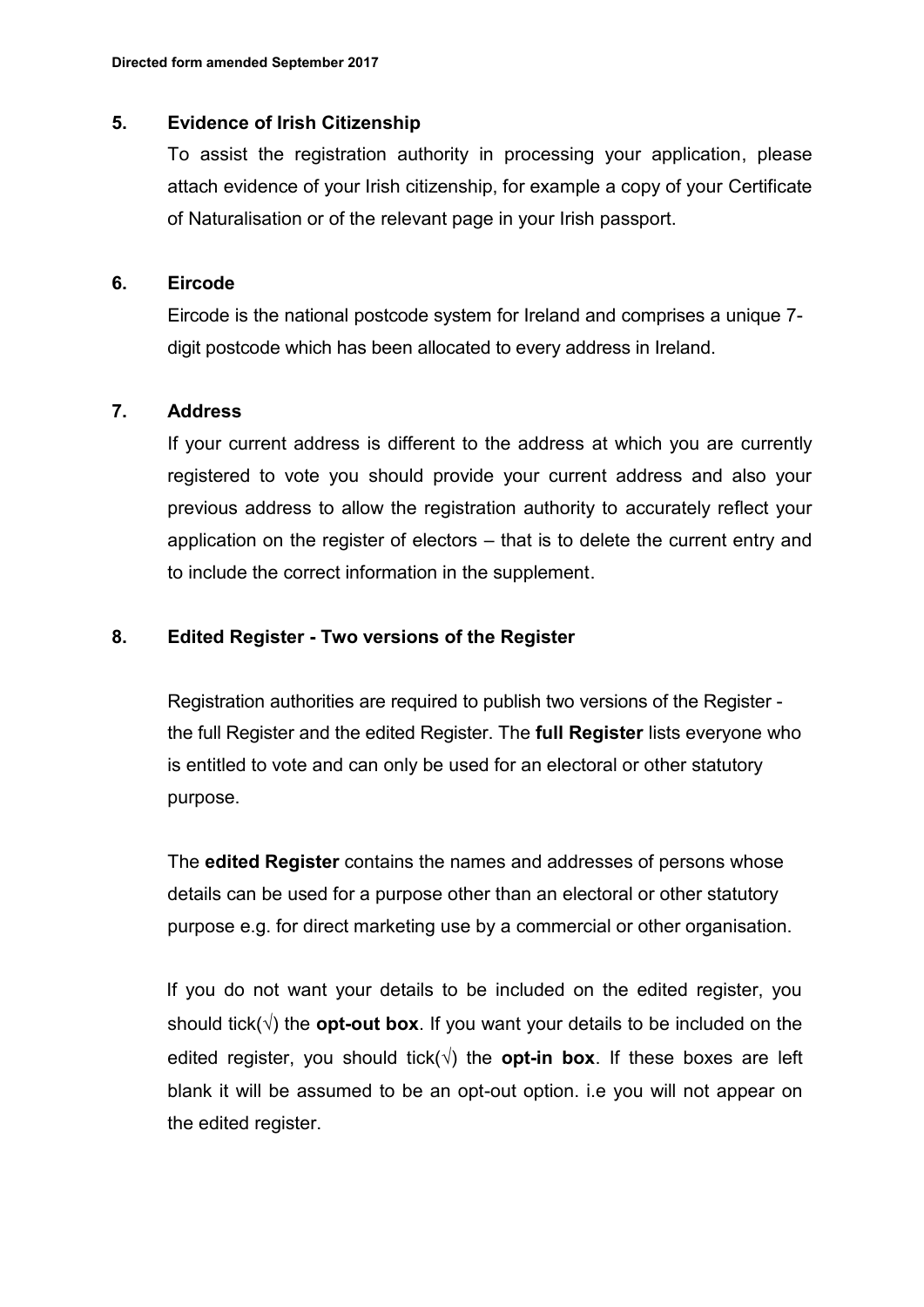#### **5. Evidence of Irish Citizenship**

To assist the registration authority in processing your application, please attach evidence of your Irish citizenship, for example a copy of your Certificate of Naturalisation or of the relevant page in your Irish passport.

#### **6. Eircode**

Eircode is the national postcode system for Ireland and comprises a unique 7 digit postcode which has been allocated to every address in Ireland.

#### **7. Address**

If your current address is different to the address at which you are currently registered to vote you should provide your current address and also your previous address to allow the registration authority to accurately reflect your application on the register of electors – that is to delete the current entry and to include the correct information in the supplement.

## **8. Edited Register - Two versions of the Register**

Registration authorities are required to publish two versions of the Register the full Register and the edited Register. The **full Register** lists everyone who is entitled to vote and can only be used for an electoral or other statutory purpose.

The **edited Register** contains the names and addresses of persons whose details can be used for a purpose other than an electoral or other statutory purpose e.g. for direct marketing use by a commercial or other organisation.

If you do not want your details to be included on the edited register, you should tick( $\sqrt{ }$ ) the **opt-out box**. If you want your details to be included on the edited register, you should tick( $\sqrt{ }$ ) the **opt-in box**. If these boxes are left blank it will be assumed to be an opt-out option. i.e you will not appear on the edited register.